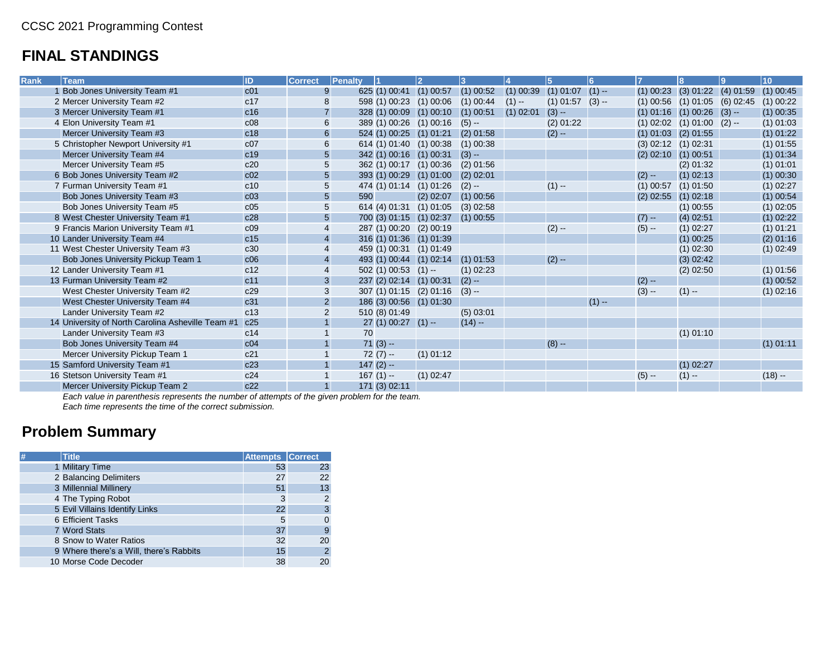## **FINAL STANDINGS**

| <b>Rank</b><br><b>Team</b>                        | ID              | <b>Correct</b>          | Penalty |                         | $\overline{\mathbf{c}}$           |             |             | 5                    | 6       |                                     |             | Lg | 10          |
|---------------------------------------------------|-----------------|-------------------------|---------|-------------------------|-----------------------------------|-------------|-------------|----------------------|---------|-------------------------------------|-------------|----|-------------|
| 1 Bob Jones University Team #1                    | c <sub>01</sub> | 9                       |         | 625 (1) 00:41 (1) 00:57 |                                   | $(1)$ 00:52 | $(1)$ 00:39 | $(1)$ 01:07 $(1)$ -- |         | $(1)$ 00:23 $(3)$ 01:22 $(4)$ 01:59 |             |    | $(1)$ 00:45 |
| 2 Mercer University Team #2                       | c17             | $\bf 8$                 |         | 598 (1) 00:23 (1) 00:06 |                                   | $(1)$ 00:44 | $(1) -$     | $(1)$ 01:57          | $(3) -$ | $(1)$ 00:56 $(1)$ 01:05 $(6)$ 02:45 |             |    | $(1)$ 00:22 |
| 3 Mercer University Team #1                       | c16             | $\overline{7}$          |         |                         | 328 (1) 00:09 (1) 00:10           | $(1)$ 00:51 | $(1)$ 02:01 | $(3) -$              |         | $(1)$ 01:16 $(1)$ 00:26 $(3)$ --    |             |    | $(1)$ 00:35 |
| 4 Elon University Team #1                         | c08             | 6                       |         | 389 (1) 00:26 (1) 00:16 |                                   | $(5) -$     |             | $(2)$ 01:22          |         | $(1)$ 02:02 $(1)$ 01:00 $(2)$ --    |             |    | $(1)$ 01:03 |
| Mercer University Team #3                         | c18             | $\,6$                   |         |                         | 524 (1) 00:25 (1) 01:21           | $(2)$ 01:58 |             | $(2) -$              |         | $(1)$ 01:03 $(2)$ 01:55             |             |    | $(1)$ 01:22 |
| 5 Christopher Newport University #1               | c07             | $\,6$                   |         | 614 (1) 01:40 (1) 00:38 |                                   | $(1)$ 00:38 |             |                      |         | $(3)$ 02:12 $(1)$ 02:31             |             |    | $(1)$ 01:55 |
| Mercer University Team #4                         | c19             | $\overline{5}$          |         | 342 (1) 00:16 (1) 00:31 |                                   | $(3) -$     |             |                      |         | $(2)$ 02:10 $(1)$ 00:51             |             |    | $(1)$ 01:34 |
| Mercer University Team #5                         | c20             | 5                       |         |                         | 362 (1) 00:17 (1) 00:36           | $(2)$ 01:56 |             |                      |         |                                     | $(2)$ 01:32 |    | $(1)$ 01:01 |
| 6 Bob Jones University Team #2                    | c02             | $\overline{5}$          |         |                         | 393 (1) 00:29 (1) 01:00           | $(2)$ 02:01 |             |                      |         | $(2) -$                             | $(1)$ 02:13 |    | $(1)$ 00:30 |
| 7 Furman University Team #1                       | c10             | 5                       |         | 474 (1) 01:14 (1) 01:26 |                                   | $(2) -$     |             | $(1) -$              |         | $(1)$ 00:57                         | $(1)$ 01:50 |    | $(1)$ 02:27 |
| Bob Jones University Team #3                      | c03             | $5\phantom{.}$          | 590     |                         | $(2)$ 02:07                       | $(1)$ 00:56 |             |                      |         | $(2)$ 02:55 $(1)$ 02:18             |             |    | $(1)$ 00:54 |
| Bob Jones University Team #5                      | c05             | 5                       |         | 614 (4) 01:31           | $(1)$ 01:05                       | $(3)$ 02:58 |             |                      |         |                                     | $(1)$ 00:55 |    | $(1)$ 02:05 |
| 8 West Chester University Team #1                 | c28             | $\overline{5}$          |         |                         | 700 (3) 01:15 (1) 02:37 (1) 00:55 |             |             |                      |         | $(7) -$                             | $(4)$ 02:51 |    | $(1)$ 02:22 |
| 9 Francis Marion University Team #1               | c09             | $\overline{4}$          |         | 287 (1) 00:20 (2) 00:19 |                                   |             |             | $(2) -$              |         | $(5) -$                             | $(1)$ 02:27 |    | $(1)$ 01:21 |
| 10 Lander University Team #4                      | c15             | $\overline{\mathbf{4}}$ |         | 316 (1) 01:36 (1) 01:39 |                                   |             |             |                      |         |                                     | $(1)$ 00:25 |    | $(2)$ 01:16 |
| 11 West Chester University Team #3                | c30             | 4                       |         | 459 (1) 00:31 (1) 01:49 |                                   |             |             |                      |         |                                     | $(1)$ 02:30 |    | $(1)$ 02:49 |
| Bob Jones University Pickup Team 1                | c06             | $\overline{\mathbf{4}}$ |         | 493 (1) 00:44 (1) 02:14 |                                   | $(1)$ 01:53 |             | $(2) -$              |         |                                     | $(3)$ 02:42 |    |             |
| 12 Lander University Team #1                      | c12             | $\overline{4}$          |         | $502(1)00:53(1) -$      |                                   | $(1)$ 02:23 |             |                      |         |                                     | $(2)$ 02:50 |    | $(1)$ 01:56 |
| 13 Furman University Team #2                      | c11             | $\mathbf{3}$            |         | 237 (2) 02:14 (1) 00:31 |                                   | $(2) -$     |             |                      |         | $(2) -$                             |             |    | $(1)$ 00:52 |
| West Chester University Team #2                   | c29             | 3                       |         |                         | 307 (1) 01:15 (2) 01:16           | $(3) -$     |             |                      |         | $(3) -$                             | $(1) -$     |    | $(1)$ 02:16 |
| West Chester University Team #4                   | c31             | $\overline{2}$          |         | 186 (3) 00:56 (1) 01:30 |                                   |             |             |                      | $(1) -$ |                                     |             |    |             |
| Lander University Team #2                         | c13             | $\overline{2}$          |         | 510 (8) 01:49           |                                   | (5) 03:01   |             |                      |         |                                     |             |    |             |
| 14 University of North Carolina Asheville Team #1 | c25             |                         |         | $27(1) 00:27(1) -$      |                                   | $(14) -$    |             |                      |         |                                     |             |    |             |
| Lander University Team #3                         | c14             |                         | 70      |                         |                                   |             |             |                      |         |                                     | $(1)$ 01:10 |    |             |
| Bob Jones University Team #4                      | c04             |                         |         | $71(3) -$               |                                   |             |             | $(8) -$              |         |                                     |             |    | $(1)$ 01:11 |
| Mercer University Pickup Team 1                   | c21             |                         |         | $72(7) -$               | $(1)$ 01:12                       |             |             |                      |         |                                     |             |    |             |
| 15 Samford University Team #1                     | c23             |                         |         | $147(2) -$              |                                   |             |             |                      |         |                                     | $(1)$ 02:27 |    |             |
| 16 Stetson University Team #1                     | c24             |                         |         | $167(1) -$              | $(1)$ 02:47                       |             |             |                      |         | $(5) -$                             | $(1) -$     |    | $(18) -$    |
| Mercer University Pickup Team 2                   | c22             |                         |         | 171 (3) 02:11           |                                   |             |             |                      |         |                                     |             |    |             |

*Each value in parenthesis represents the number of attempts of the given problem for the team.*

*Each time represents the time of the correct submission.*

## **Problem Summary**

| # | <b>Title</b>                            | <b>Attempts Correct</b> |                |
|---|-----------------------------------------|-------------------------|----------------|
|   | 1 Military Time                         | 53                      | 23             |
|   | 2 Balancing Delimiters                  | 27                      | 22             |
|   | 3 Millennial Millinery                  | 51                      | 13             |
|   | 4 The Typing Robot                      | 3                       | $\overline{2}$ |
|   | 5 Evil Villains Identify Links          | 22                      | 3              |
|   | <b>6 Efficient Tasks</b>                | 5                       |                |
|   | 7 Word Stats                            | 37                      | 9              |
|   | 8 Snow to Water Ratios                  | 32                      | 20             |
|   | 9 Where there's a Will, there's Rabbits | 15                      | $\overline{c}$ |
|   | 10 Morse Code Decoder                   | 38                      | 20             |